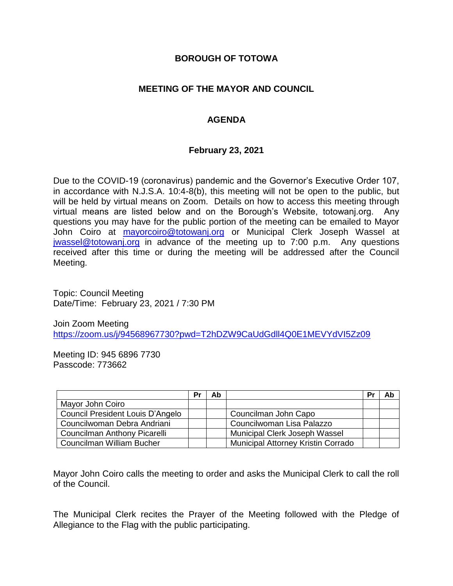## **BOROUGH OF TOTOWA**

## **MEETING OF THE MAYOR AND COUNCIL**

# **AGENDA**

### **February 23, 2021**

Due to the COVID-19 (coronavirus) pandemic and the Governor's Executive Order 107, in accordance with N.J.S.A. 10:4-8(b), this meeting will not be open to the public, but will be held by virtual means on Zoom. Details on how to access this meeting through virtual means are listed below and on the Borough's Website, totowanj.org. Any questions you may have for the public portion of the meeting can be emailed to Mayor John Coiro at [mayorcoiro@totowanj.org](mailto:mayorcoiro@totowanj.org) or Municipal Clerk Joseph Wassel at [jwassel@totowanj.org](mailto:jwassel@totowanj.org) in advance of the meeting up to 7:00 p.m. Any questions received after this time or during the meeting will be addressed after the Council Meeting.

Topic: Council Meeting Date/Time: February 23, 2021 / 7:30 PM

Join Zoom Meeting <https://zoom.us/j/94568967730?pwd=T2hDZW9CaUdGdll4Q0E1MEVYdVI5Zz09>

Meeting ID: 945 6896 7730 Passcode: 773662

|                                  | Pr | Ab |                                           | Pr | Ab |
|----------------------------------|----|----|-------------------------------------------|----|----|
| Mayor John Coiro                 |    |    |                                           |    |    |
| Council President Louis D'Angelo |    |    | Councilman John Capo                      |    |    |
| Councilwoman Debra Andriani      |    |    | Councilwoman Lisa Palazzo                 |    |    |
| Councilman Anthony Picarelli     |    |    | Municipal Clerk Joseph Wassel             |    |    |
| Councilman William Bucher        |    |    | <b>Municipal Attorney Kristin Corrado</b> |    |    |

Mayor John Coiro calls the meeting to order and asks the Municipal Clerk to call the roll of the Council.

The Municipal Clerk recites the Prayer of the Meeting followed with the Pledge of Allegiance to the Flag with the public participating.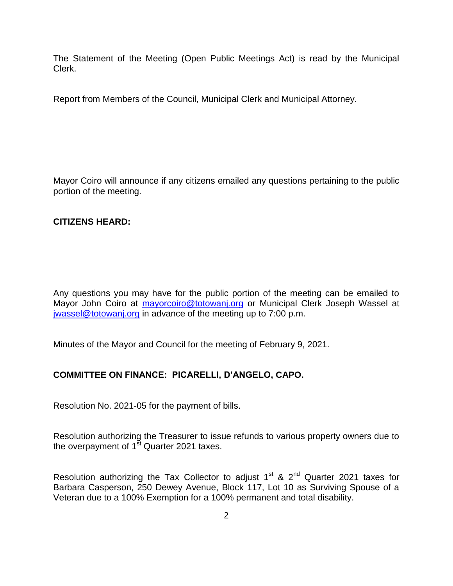The Statement of the Meeting (Open Public Meetings Act) is read by the Municipal Clerk.

Report from Members of the Council, Municipal Clerk and Municipal Attorney.

Mayor Coiro will announce if any citizens emailed any questions pertaining to the public portion of the meeting.

#### **CITIZENS HEARD:**

Any questions you may have for the public portion of the meeting can be emailed to Mayor John Coiro at [mayorcoiro@totowanj.org](mailto:mayorcoiro@totowanj.org) or Municipal Clerk Joseph Wassel at [jwassel@totowanj.org](mailto:jwassel@totowanj.org) in advance of the meeting up to 7:00 p.m.

Minutes of the Mayor and Council for the meeting of February 9, 2021.

### **COMMITTEE ON FINANCE: PICARELLI, D'ANGELO, CAPO.**

Resolution No. 2021-05 for the payment of bills.

Resolution authorizing the Treasurer to issue refunds to various property owners due to the overpayment of  $1<sup>st</sup>$  Quarter 2021 taxes.

Resolution authorizing the Tax Collector to adjust  $1<sup>st</sup>$  &  $2<sup>nd</sup>$  Quarter 2021 taxes for Barbara Casperson, 250 Dewey Avenue, Block 117, Lot 10 as Surviving Spouse of a Veteran due to a 100% Exemption for a 100% permanent and total disability.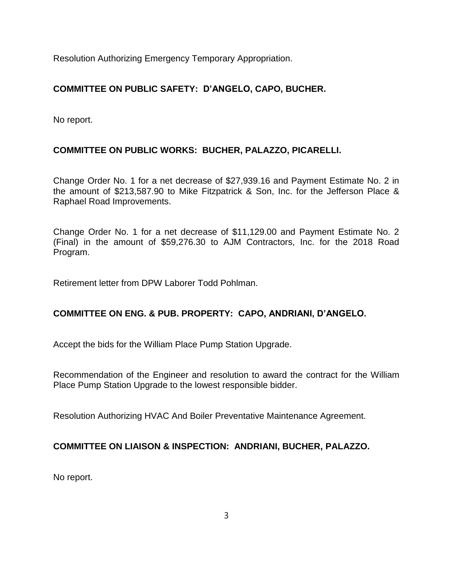Resolution Authorizing Emergency Temporary Appropriation.

# **COMMITTEE ON PUBLIC SAFETY: D'ANGELO, CAPO, BUCHER.**

No report.

# **COMMITTEE ON PUBLIC WORKS: BUCHER, PALAZZO, PICARELLI.**

Change Order No. 1 for a net decrease of \$27,939.16 and Payment Estimate No. 2 in the amount of \$213,587.90 to Mike Fitzpatrick & Son, Inc. for the Jefferson Place & Raphael Road Improvements.

Change Order No. 1 for a net decrease of \$11,129.00 and Payment Estimate No. 2 (Final) in the amount of \$59,276.30 to AJM Contractors, Inc. for the 2018 Road Program.

Retirement letter from DPW Laborer Todd Pohlman.

### **COMMITTEE ON ENG. & PUB. PROPERTY: CAPO, ANDRIANI, D'ANGELO.**

Accept the bids for the William Place Pump Station Upgrade.

Recommendation of the Engineer and resolution to award the contract for the William Place Pump Station Upgrade to the lowest responsible bidder.

Resolution Authorizing HVAC And Boiler Preventative Maintenance Agreement.

### **COMMITTEE ON LIAISON & INSPECTION: ANDRIANI, BUCHER, PALAZZO.**

No report.